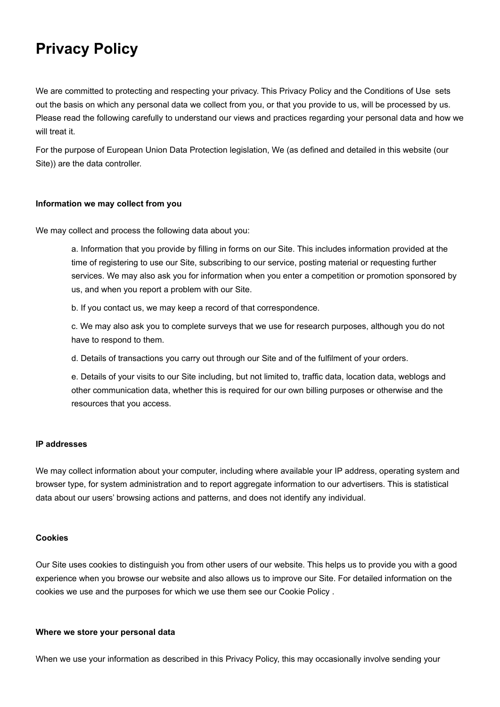# **Privacy Policy**

We are committed to protecting and respecting your privacy. This Privacy Policy and the Conditions of Use sets out the basis on which any personal data we collect from you, or that you provide to us, will be processed by us. Please read the following carefully to understand our views and practices regarding your personal data and how we will treat it.

For the purpose of European Union Data Protection legislation, We (as defined and detailed in this website (our Site)) are the data controller.

## **Information we may collect from you**

We may collect and process the following data about you:

a. Information that you provide by filling in forms on our Site. This includes information provided at the time of registering to use our Site, subscribing to our service, posting material or requesting further services. We may also ask you for information when you enter a competition or promotion sponsored by us, and when you report a problem with our Site.

b. If you contact us, we may keep a record of that correspondence.

c. We may also ask you to complete surveys that we use for research purposes, although you do not have to respond to them.

d. Details of transactions you carry out through our Site and of the fulfilment of your orders.

e. Details of your visits to our Site including, but not limited to, traffic data, location data, weblogs and other communication data, whether this is required for our own billing purposes or otherwise and the resources that you access.

#### **IP addresses**

We may collect information about your computer, including where available your IP address, operating system and browser type, for system administration and to report aggregate information to our advertisers. This is statistical data about our users' browsing actions and patterns, and does not identify any individual.

## **Cookies**

Our Site uses cookies to distinguish you from other users of our website. This helps us to provide you with a good experience when you browse our website and also allows us to improve our Site. For detailed information on the cookies we use and the purposes for which we use them see our Cookie Policy .

### **Where we store your personal data**

When we use your information as described in this Privacy Policy, this may occasionally involve sending your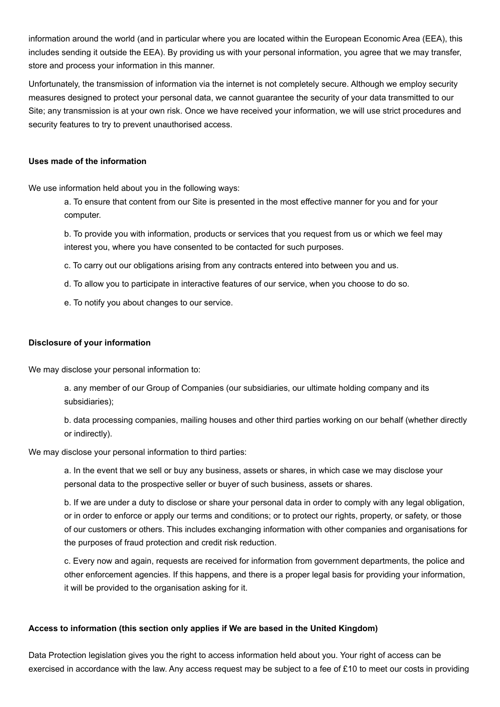information around the world (and in particular where you are located within the European Economic Area (EEA), this includes sending it outside the EEA). By providing us with your personal information, you agree that we may transfer, store and process your information in this manner.

Unfortunately, the transmission of information via the internet is not completely secure. Although we employ security measures designed to protect your personal data, we cannot guarantee the security of your data transmitted to our Site; any transmission is at your own risk. Once we have received your information, we will use strict procedures and security features to try to prevent unauthorised access.

## **Uses made of the information**

We use information held about you in the following ways:

a. To ensure that content from our Site is presented in the most effective manner for you and for your computer.

b. To provide you with information, products or services that you request from us or which we feel may interest you, where you have consented to be contacted for such purposes.

- c. To carry out our obligations arising from any contracts entered into between you and us.
- d. To allow you to participate in interactive features of our service, when you choose to do so.
- e. To notify you about changes to our service.

#### **Disclosure of your information**

We may disclose your personal information to:

a. any member of our Group of Companies (our subsidiaries, our ultimate holding company and its subsidiaries);

b. data processing companies, mailing houses and other third parties working on our behalf (whether directly or indirectly).

We may disclose your personal information to third parties:

a. In the event that we sell or buy any business, assets or shares, in which case we may disclose your personal data to the prospective seller or buyer of such business, assets or shares.

b. If we are under a duty to disclose or share your personal data in order to comply with any legal obligation, or in order to enforce or apply our terms and conditions; or to protect our rights, property, or safety, or those of our customers or others. This includes exchanging information with other companies and organisations for the purposes of fraud protection and credit risk reduction.

c. Every now and again, requests are received for information from government departments, the police and other enforcement agencies. If this happens, and there is a proper legal basis for providing your information, it will be provided to the organisation asking for it.

## **Access to information (this section only applies if We are based in the United Kingdom)**

Data Protection legislation gives you the right to access information held about you. Your right of access can be exercised in accordance with the law. Any access request may be subject to a fee of £10 to meet our costs in providing